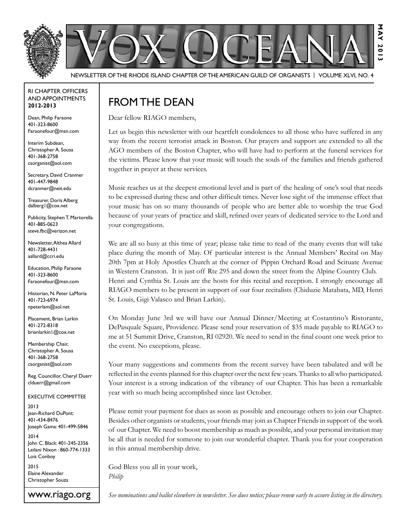

Newsletter of the Rhode Island Chapter of the American Guild of OrganistS | Volume XLVI, No. 4

#### RI Chapter Officers and Appointments **2012-2013**

Dean, Philip Faraone 401-323-8600 Faraonefour@msn.com

Interim Subdean, Christopher A. Sousa 401-368-2758 csorganist@aol.com

Secretary, David Cranmer 401-447-9848 dcranmer@neit.edu

Treasurer, Doris Alberg dalberg1@cox.net

Publicity, Stephen T. Martorella 401-885-0623 steve.fbc@verizon.net

Newsletter, Althea Allard 401-728-4431 aallard@ccri.edu

Education, Philip Faraone 401-323-8600 Faraonefour@msn.com

Historian, N. Peter LaMoria 401-723-6974 npeterlam@aol.net

Placement, Brian Larkin 401-272-8318 brianlarkin1@cox.net

Membership Chair, Christopher A. Sousa 401-368-2758 csorganist@aol.com

Reg. Councillor, Cheryl Duerr clduerr@gmail.com

Executive Committee

2013 Jean-Richard DuPont: 401-434-8476 Joseph Gama: 401-499-5846

2014 John C. Black: 401-245-2356 Leilani Nixon : 860-774-1333 Lois Conboy

2015 Elaine Alexander Christopher Souza

www.riago.org

# FROM THE DEAN

Dear fellow RIAGO members,

Let us begin this newsletter with our heartfelt condolences to all those who have suffered in any way from the recent terrorist attack in Boston. Our prayers and support are extended to all the AGO members of the Boston Chapter, who will have had to perform at the funeral services for the victims. Please know that your music will touch the souls of the families and friends gathered together in prayer at these services.

Music reaches us at the deepest emotional level and is part of the healing of one's soul that needs to be expressed during these and other difficult times. Never lose sight of the immense effect that your music has on so many thousands of people who are better able to worship the true God because of your years of practice and skill, refined over years of dedicated service to the Lord and your congregations.

We are all so busy at this time of year; please take time to read of the many events that will take place during the month of May. Of particular interest is the Annual Members' Recital on May 20th 7pm at Holy Apostles Church at the corner of Pippin Orchard Road and Scituate Avenue in Western Cranston. It is just off Rte 295 and down the street from the Alpine Country Club. Henri and Cynthia St. Louis are the hosts for this recital and reception. I strongly encourage all RIAGO members to be present in support of our four recitalists (Chiduzie Matabata, MD, Henri St. Louis, Gigi Valasco and Brian Larkin).

On Monday June 3rd we will have our Annual Dinner/Meeting at Costantino's Ristorante, DePasquale Square, Providence. Please send your reservation of \$35 made payable to RIAGO to me at 51 Summit Drive, Cranston, RI 02920. We need to send in the final count one week prior to the event. No exceptions, please.

Your many suggestions and comments from the recent survey have been tabulated and will be reflected in the events planned for this chapter over the next few years. Thanks to all who participated. Your interest is a strong indication of the vibrancy of our Chapter. This has been a remarkable year with so much being accomplished since last October.

Please remit your payment for dues as soon as possible and encourage others to join our Chapter. Besides other organists or students, your friends may join as Chapter Friends in support of the work of our Chapter. We need to boost membership as much as possible, and your personal invitation may be all that is needed for someone to join our wonderful chapter. Thank you for your cooperation in this annual membership drive.

God Bless you all in your work, *Philip*

*See nominations and ballot elsewhere in newsletter. See dues notice; please renew early to assure listing in the directory.*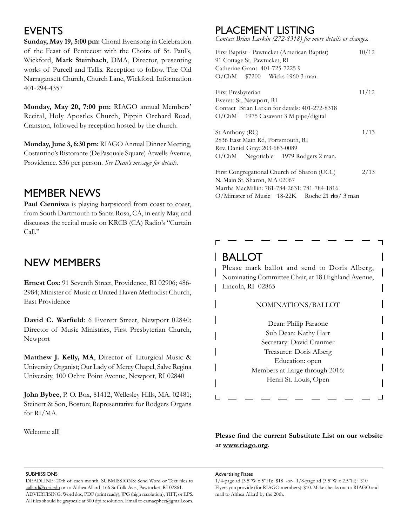## **EVENTS**

**Sunday, May 19, 5:00 pm:** Choral Evensong in Celebration of the Feast of Pentecost with the Choirs of St. Paul's, Wickford, **Mark Steinbach**, DMA, Director, presenting works of Purcell and Tallis. Reception to follow. The Old Narragansett Church, Church Lane, Wickford. Information 401-294-4357

**Monday, May 20, 7:00 pm:** RIAGO annual Members' Recital, Holy Apostles Church, Pippin Orchard Road, Cranston, followed by reception hosted by the church.

**Monday, June 3, 6:30 pm:** RIAGO Annual Dinner Meeting, Costantino's Ristorante (DePasquale Square) Atwells Avenue, Providence. \$36 per person. *See Dean's message for details.*

## MEMBER NEWS

Paul Cienniwa is playing harpsicord from coast to coast, from South Dartmouth to Santa Rosa, CA, in early May, and discusses the recital music on KRCB (CA) Radio's "Curtain Call."

## New MEMBERs

**Ernest Cox**: 91 Seventh Street, Providence, RI 02906; 486- 2984; Minister of Music at United Haven Methodist Church, East Providence

**David C. Warfield**: 6 Everett Street, Newport 02840; Director of Music Ministries, First Presbyterian Church, Newport

**Matthew J. Kelly, MA**, Director of Liturgical Music & University Organist; Our Lady of Mercy Chapel, Salve Regina University, 100 Ochre Point Avenue, Newport, RI 02840

**John Bybee**, P. O. Box, 81412, Wellesley Hills, MA. 02481; Steinert & Son, Boston; Representative for Rodgers Organs for RI/MA.

Welcome all!

## Placement Listing

*Contact Brian Larkin (272-8318) for more details or changes.*

| First Baptist - Pawtucket (American Baptist)<br>10/12 |       |  |  |  |  |
|-------------------------------------------------------|-------|--|--|--|--|
| 91 Cottage St, Pawtucket, RI                          |       |  |  |  |  |
| Catherine Grant 401-725-72259                         |       |  |  |  |  |
| $O/ChM$ \$7200 Wicks 1960 3 man.                      |       |  |  |  |  |
| First Presbyterian                                    | 11/12 |  |  |  |  |
| Everett St, Newport, RI                               |       |  |  |  |  |
| Contact Brian Larkin for details: 401-272-8318        |       |  |  |  |  |
| O/ChM 1975 Casavant 3 M pipe/digital                  |       |  |  |  |  |
| St Anthony (RC)                                       | 1/13  |  |  |  |  |
| 2836 East Main Rd, Portsmouth, RI                     |       |  |  |  |  |
| Rev. Daniel Gray: 203-683-0089                        |       |  |  |  |  |
| O/ChM Negotiable 1979 Rodgers 2 man.                  |       |  |  |  |  |
| First Congregational Church of Sharon (UCC)           | 2/13  |  |  |  |  |
| N. Main St, Sharon, MA 02067                          |       |  |  |  |  |
| Martha MacMillin: 781-784-2631; 781-784-1816          |       |  |  |  |  |
| O/Minister of Music 18-22K Roche 21 rks/ 3 man        |       |  |  |  |  |

## Ballot

Please mark ballot and send to Doris Alberg, Nominating Committee Chair, at 18 Highland Avenue, Lincoln, RI 02865

### Nominations/Ballot

Dean: Philip Faraone Sub Dean: Kathy Hart Secretary: David Cranmer Treasurer: Doris Alberg Education: open Members at Large through 2016: Henri St. Louis, Open

**Please find the current Substitute List on our website at www.riago.org.**

#### **SUBMISSIONS**

DEADLINE: 20th of each month. SUBMISSIONS: Send Word or Text files to aallard@ccri.edu or to Althea Allard, 166 Suffolk Ave., Pawtucket, RI 02861. ADVERTISING: Word doc, PDF (print ready), JPG (high resolution), TIFF, or EPS. All files should be grayscale at 300 dpi resolution. Email to camacphee@gmail.com. Advertising Rates

1/4-page ad (3.5"W x 5"H): \$18 -or- 1/8-page ad (3.5"W x 2.5"H): \$10 Flyers you provide (for RIAGO members): \$10. Make checks out to RIAGO and mail to Althea Allard by the 20th.